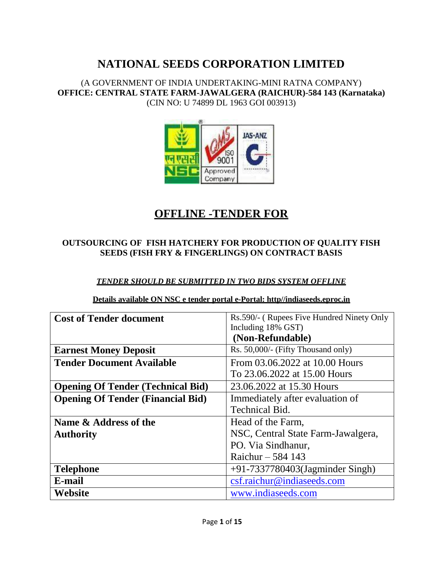(A GOVERNMENT OF INDIA UNDERTAKING-MINI RATNA COMPANY) **OFFICE: CENTRAL STATE FARM-JAWALGERA (RAICHUR)-584 143 (Karnataka)** (CIN NO: U 74899 DL 1963 GOI 003913)



# **OFFLINE -TENDER FOR**

### **OUTSOURCING OF FISH HATCHERY FOR PRODUCTION OF QUALITY FISH SEEDS (FISH FRY & FINGERLINGS) ON CONTRACT BASIS**

### *TENDER SHOULD BE SUBMITTED IN TWO BIDS SYSTEM OFFLINE*

|  |  | Details available ON NSC e tender portal e-Portal: http//indiaseeds.eproc.in |  |
|--|--|------------------------------------------------------------------------------|--|
|  |  |                                                                              |  |

| <b>Cost of Tender document</b>           | Rs.590/- (Rupees Five Hundred Ninety Only |  |
|------------------------------------------|-------------------------------------------|--|
|                                          | Including 18% GST)                        |  |
|                                          | (Non-Refundable)                          |  |
| <b>Earnest Money Deposit</b>             | Rs. 50,000/- (Fifty Thousand only)        |  |
| <b>Tender Document Available</b>         | From 03.06.2022 at 10.00 Hours            |  |
|                                          | To 23.06.2022 at 15.00 Hours              |  |
| <b>Opening Of Tender (Technical Bid)</b> | 23.06.2022 at 15.30 Hours                 |  |
| <b>Opening Of Tender (Financial Bid)</b> | Immediately after evaluation of           |  |
|                                          | <b>Technical Bid.</b>                     |  |
| Name & Address of the                    | Head of the Farm,                         |  |
| <b>Authority</b>                         | NSC, Central State Farm-Jawalgera,        |  |
|                                          | PO. Via Sindhanur,                        |  |
|                                          | Raichur $-584$ 143                        |  |
| <b>Telephone</b>                         | $+91-7337780403$ (Jagminder Singh)        |  |
| E-mail                                   | csf.raichur@indiaseeds.com                |  |
| Website                                  | www.indiaseeds.com                        |  |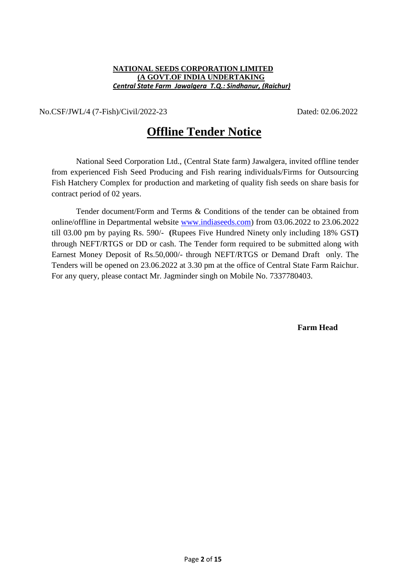#### **NATIONAL SEEDS CORPORATION LIMITED (A GOVT.OF INDIA UNDERTAKING**  *Central State Farm Jawalgera T.Q.: Sindhanur, (Raichur)*

No.CSF/JWL/4 (7-Fish)/Civil/2022-23 Dated: 02.06.2022

# **Offline Tender Notice**

National Seed Corporation Ltd., (Central State farm) Jawalgera, invited offline tender from experienced Fish Seed Producing and Fish rearing individuals/Firms for Outsourcing Fish Hatchery Complex for production and marketing of quality fish seeds on share basis for contract period of 02 years.

Tender document/Form and Terms & Conditions of the tender can be obtained from online/offline in Departmental website www [indiaseeds.com\)](http://www.indiaseeds.com/) from 03.06.2022 to 23.06.2022 till 03.00 pm by paying Rs. 590/- **(**Rupees Five Hundred Ninety only including 18% GST**)** through NEFT/RTGS or DD or cash. The Tender form required to be submitted along with Earnest Money Deposit of Rs.50,000/- through NEFT/RTGS or Demand Draft only. The Tenders will be opened on 23.06.2022 at 3.30 pm at the office of Central State Farm Raichur. For any query, please contact Mr. Jagminder singh on Mobile No. 7337780403.

 **Farm Head**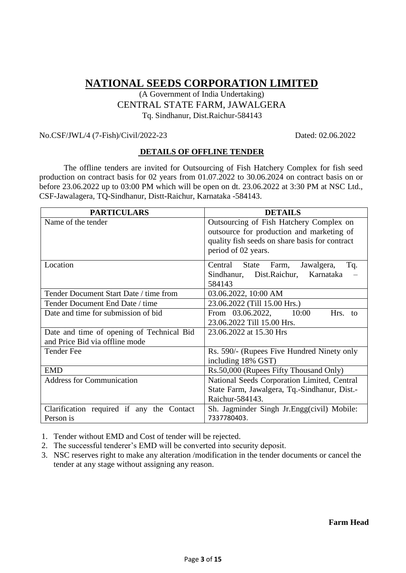### (A Government of India Undertaking) CENTRAL STATE FARM, JAWALGERA Tq. Sindhanur, Dist.Raichur-584143

#### No.CSF/JWL/4 (7-Fish)/Civil/2022-23 Dated: 02.06.2022

#### **DETAILS OF OFFLINE TENDER**

The offline tenders are invited for Outsourcing of Fish Hatchery Complex for fish seed production on contract basis for 02 years from 01.07.2022 to 30.06.2024 on contract basis on or before 23.06.2022 up to 03:00 PM which will be open on dt. 23.06.2022 at 3:30 PM at NSC Ltd., CSF-Jawalagera, TQ-Sindhanur, Distt-Raichur, Karnataka -584143.

| <b>PARTICULARS</b>                                                          | <b>DETAILS</b>                                                                                                                                                |  |  |
|-----------------------------------------------------------------------------|---------------------------------------------------------------------------------------------------------------------------------------------------------------|--|--|
| Name of the tender                                                          | Outsourcing of Fish Hatchery Complex on<br>outsource for production and marketing of<br>quality fish seeds on share basis for contract<br>period of 02 years. |  |  |
| Location                                                                    | Tq.<br>Central State Farm,<br>Jawalgera,<br>Sindhanur, Dist.Raichur, Karnataka<br>584143                                                                      |  |  |
| Tender Document Start Date / time from                                      | 03.06.2022, 10:00 AM                                                                                                                                          |  |  |
| Tender Document End Date / time                                             | 23.06.2022 (Till 15.00 Hrs.)                                                                                                                                  |  |  |
| Date and time for submission of bid                                         | From 03.06.2022, 10:00<br>Hrs. to<br>23.06.2022 Till 15.00 Hrs.                                                                                               |  |  |
| Date and time of opening of Technical Bid<br>and Price Bid via offline mode | 23.06.2022 at 15.30 Hrs                                                                                                                                       |  |  |
| <b>Tender Fee</b>                                                           | Rs. 590/- (Rupees Five Hundred Ninety only<br>including 18% GST)                                                                                              |  |  |
| <b>EMD</b>                                                                  | Rs.50,000 (Rupees Fifty Thousand Only)                                                                                                                        |  |  |
| <b>Address for Communication</b>                                            | National Seeds Corporation Limited, Central                                                                                                                   |  |  |
|                                                                             | State Farm, Jawalgera, Tq.-Sindhanur, Dist.-<br>Raichur-584143.                                                                                               |  |  |
| Clarification required if any the Contact<br>Person is                      | Sh. Jagminder Singh Jr. Engg(civil) Mobile:<br>7337780403.                                                                                                    |  |  |

1. Tender without EMD and Cost of tender will be rejected.

- 2. The successful tenderer's EMD will be converted into security deposit.
- 3. NSC reserves right to make any alteration /modification in the tender documents or cancel the tender at any stage without assigning any reason.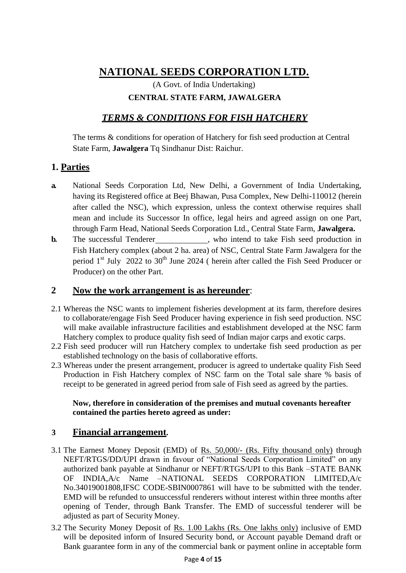(A Govt. of India Undertaking) **CENTRAL STATE FARM, JAWALGERA**

### *TERMS & CONDITIONS FOR FISH HATCHERY*

The terms & conditions for operation of Hatchery for fish seed production at Central State Farm, **Jawalgera** Tq Sindhanur Dist: Raichur.

### **1. Parties**

- **a.** National Seeds Corporation Ltd, New Delhi, a Government of India Undertaking, having its Registered office at Beej Bhawan, Pusa Complex, New Delhi-110012 (herein after called the NSC), which expression, unless the context otherwise requires shall mean and include its Successor In office, legal heirs and agreed assign on one Part, through Farm Head, National Seeds Corporation Ltd., Central State Farm, **Jawalgera.**
- **b.** The successful Tenderer , who intend to take Fish seed production in Fish Hatchery complex (about 2 ha. area) of NSC, Central State Farm Jawalgera for the period  $1<sup>st</sup>$  July 2022 to 30<sup>th</sup> June 2024 ( herein after called the Fish Seed Producer or Producer) on the other Part.

### **2 Now the work arrangement is as hereunder**:

- 2.1 Whereas the NSC wants to implement fisheries development at its farm, therefore desires to collaborate/engage Fish Seed Producer having experience in fish seed production. NSC will make available infrastructure facilities and establishment developed at the NSC farm Hatchery complex to produce quality fish seed of Indian major carps and exotic carps.
- 2.2 Fish seed producer will run Hatchery complex to undertake fish seed production as per established technology on the basis of collaborative efforts.
- 2.3 Whereas under the present arrangement, producer is agreed to undertake quality Fish Seed Production in Fish Hatchery complex of NSC farm on the Total sale share % basis of receipt to be generated in agreed period from sale of Fish seed as agreed by the parties.

### **Now, therefore in consideration of the premises and mutual covenants hereafter contained the parties hereto agreed as under:**

### **3 Financial arrangement.**

- 3.1 The Earnest Money Deposit (EMD) of Rs. 50,000/- (Rs. Fifty thousand only) through NEFT/RTGS/DD/UPI drawn in favour of "National Seeds Corporation Limited" on any authorized bank payable at Sindhanur or NEFT/RTGS/UPI to this Bank –STATE BANK OF INDIA,A/c Name –NATIONAL SEEDS CORPORATION LIMITED,A/c No.34019001808,IFSC CODE-SBIN0007861 will have to be submitted with the tender. EMD will be refunded to unsuccessful renderers without interest within three months after opening of Tender, through Bank Transfer. The EMD of successful tenderer will be adjusted as part of Security Money.
- 3.2 The Security Money Deposit of Rs. 1.00 Lakhs (Rs. One lakhs only) inclusive of EMD will be deposited inform of Insured Security bond, or Account payable Demand draft or Bank guarantee form in any of the commercial bank or payment online in acceptable form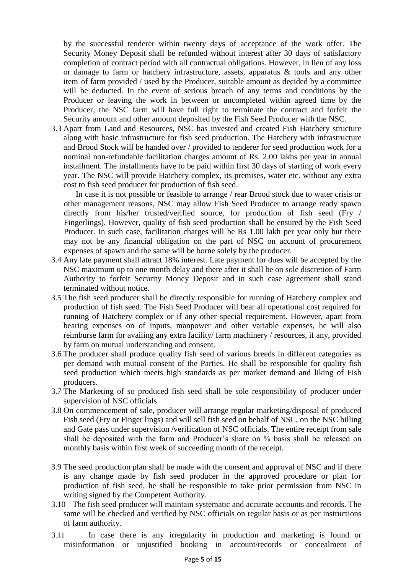by the successful tenderer within twenty days of acceptance of the work offer. The Security Money Deposit shall be refunded without interest after 30 days of satisfactory completion of contract period with all contractual obligations. However, in lieu of any loss or damage to farm or hatchery infrastructure, assets, apparatus & tools and any other item of farm provided / used by the Producer, suitable amount as decided by a committee will be deducted. In the event of serious breach of any terms and conditions by the Producer or leaving the work in between or uncompleted within agreed time by the Producer, the NSC farm will have full right to terminate the contract and forfeit the Security amount and other amount deposited by the Fish Seed Producer with the NSC.

3.3 Apart from Land and Resources, NSC has invested and created Fish Hatchery structure along with basic infrastructure for fish seed production. The Hatchery with infrastructure and Brood Stock will be handed over / provided to tenderer for seed production work for a nominal non-refundable facilitation charges amount of Rs. 2.00 lakhs per year in annual installment. The installments have to be paid within first 30 days of starting of work every year. The NSC will provide Hatchery complex, its premises, water etc. without any extra cost to fish seed producer for production of fish seed.

In case it is not possible or feasible to arrange / rear Brood stock due to water crisis or other management reasons, NSC may allow Fish Seed Producer to arrange ready spawn directly from his/her trusted/verified source, for production of fish seed (Fry / Fingerlings). However, quality of fish seed production shall be ensured by the Fish Seed Producer. In such case, facilitation charges will be Rs 1.00 lakh per year only but there may not be any financial obligation on the part of NSC on account of procurement expenses of spawn and the same will be borne solely by the producer.

- 3.4 Any late payment shall attract 18% interest. Late payment for dues will be accepted by the NSC maximum up to one month delay and there after it shall be on sole discretion of Farm Authority to forfeit Security Money Deposit and in such case agreement shall stand terminated without notice.
- 3.5 The fish seed producer shall be directly responsible for running of Hatchery complex and production of fish seed. The Fish Seed Producer will bear all operational cost required for running of Hatchery complex or if any other special requirement. However, apart from bearing expenses on of inputs, manpower and other variable expenses, he will also reimburse farm for availing any extra facility/ farm machinery / resources, if any, provided by farm on mutual understanding and consent.
- 3.6 The producer shall produce quality fish seed of various breeds in different categories as per demand with mutual consent of the Parties. He shall be responsible for quality fish seed production which meets high standards as per market demand and liking of Fish producers.
- 3.7 The Marketing of so produced fish seed shall be sole responsibility of producer under supervision of NSC officials.
- 3.8 On commencement of sale, producer will arrange regular marketing/disposal of produced Fish seed (Fry or Finger lings) and will sell fish seed on behalf of NSC, on the NSC billing and Gate pass under supervision /verification of NSC officials. The entire receipt from sale shall be deposited with the farm and Producer's share on % basis shall be released on monthly basis within first week of succeeding month of the receipt.
- 3.9 The seed production plan shall be made with the consent and approval of NSC and if there is any change made by fish seed producer in the approved procedure or plan for production of fish seed, he shall be responsible to take prior permission from NSC in writing signed by the Competent Authority.
- 3.10 The fish seed producer will maintain systematic and accurate accounts and records. The same will be checked and verified by NSC officials on regular basis or as per instructions of farm authority.
- 3.11 In case there is any irregularity in production and marketing is found or misinformation or unjustified booking in account/records or concealment of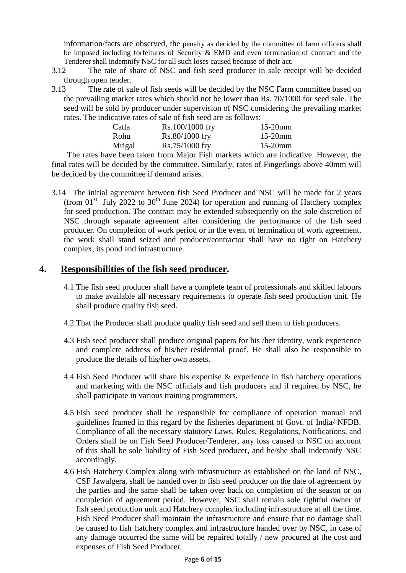information/facts are observed, the penalty as decided by the committee of farm officers shall be imposed including forfeitures of Security & EMD and even termination of contract and the Tenderer shall indemnify NSC for all such loses caused because of their act.

- 3.12 The rate of share of NSC and fish seed producer in sale receipt will be decided through open tender.
- 3.13 The rate of sale of fish seeds will be decided by the NSC Farm committee based on the prevailing market rates which should not be lower than Rs. 70/1000 for seed sale. The seed will be sold by producer under supervision of NSC considering the prevailing market rates. The indicative rates of sale of fish seed are as follows:

| Catla  | Rs.100/1000 fry  | $15-20$ mm |
|--------|------------------|------------|
| Rohu   | $Rs.80/1000$ fry | $15-20$ mm |
| Mrigal | $Rs.75/1000$ fry | $15-20$ mm |

The rates have been taken from Major Fish markets which are indicative. However, the final rates will be decided by the committee. Similarly, rates of Fingerlings above 40mm will be decided by the committee if demand arises.

3.14 The initial agreement between fish Seed Producer and NSC will be made for 2 years (from  $01<sup>st</sup>$  July 2022 to 30<sup>th</sup> June 2024) for operation and running of Hatchery complex for seed production. The contract may be extended subsequently on the sole discretion of NSC through separate agreement after considering the performance of the fish seed producer. On completion of work period or in the event of termination of work agreement, the work shall stand seized and producer/contractor shall have no right on Hatchery complex, its pond and infrastructure.

### **4. Responsibilities of the fish seed producer.**

- 4.1 The fish seed producer shall have a complete team of professionals and skilled labours to make available all necessary requirements to operate fish seed production unit. He shall produce quality fish seed.
- 4.2 That the Producer shall produce quality fish seed and sell them to fish producers.
- 4.3 Fish seed producer shall produce original papers for his /her identity, work experience and complete address of his/her residential proof. He shall also be responsible to produce the details of his/her own assets.
- 4.4 Fish Seed Producer will share his expertise & experience in fish hatchery operations and marketing with the NSC officials and fish producers and if required by NSC, he shall participate in various training programmers.
- 4.5 Fish seed producer shall be responsible for compliance of operation manual and guidelines framed in this regard by the fisheries department of Govt. of India/ NFDB. Compliance of all the necessary statutory Laws, Rules, Regulations, Notifications, and Orders shall be on Fish Seed Producer/Tenderer, any loss caused to NSC on account of this shall be sole liability of Fish Seed producer, and he/she shall indemnify NSC accordingly.
- 4.6 Fish Hatchery Complex along with infrastructure as established on the land of NSC, CSF Jawalgera, shall be handed over to fish seed producer on the date of agreement by the parties and the same shall be taken over back on completion of the season or on completion of agreement period. However, NSC shall remain sole rightful owner of fish seed production unit and Hatchery complex including infrastructure at all the time. Fish Seed Producer shall maintain the infrastructure and ensure that no damage shall be caused to fish hatchery complex and infrastructure handed over by NSC, in case of any damage occurred the same will be repaired totally / new procured at the cost and expenses of Fish Seed Producer.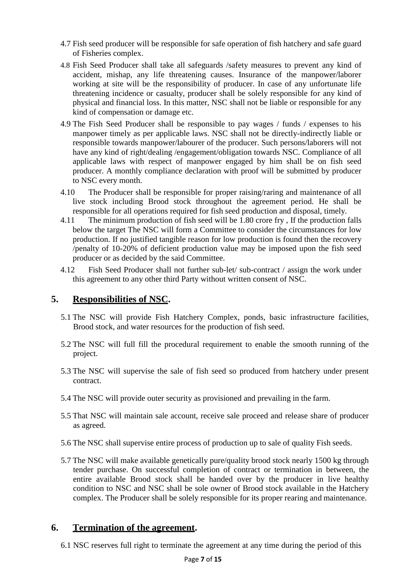- 4.7 Fish seed producer will be responsible for safe operation of fish hatchery and safe guard of Fisheries complex.
- 4.8 Fish Seed Producer shall take all safeguards /safety measures to prevent any kind of accident, mishap, any life threatening causes. Insurance of the manpower/laborer working at site will be the responsibility of producer. In case of any unfortunate life threatening incidence or casualty, producer shall be solely responsible for any kind of physical and financial loss. In this matter, NSC shall not be liable or responsible for any kind of compensation or damage etc.
- 4.9 The Fish Seed Producer shall be responsible to pay wages / funds / expenses to his manpower timely as per applicable laws. NSC shall not be directly-indirectly liable or responsible towards manpower/labourer of the producer. Such persons/laborers will not have any kind of right/dealing /engagement/obligation towards NSC. Compliance of all applicable laws with respect of manpower engaged by him shall be on fish seed producer. A monthly compliance declaration with proof will be submitted by producer to NSC every month.
- 4.10 The Producer shall be responsible for proper raising/raring and maintenance of all live stock including Brood stock throughout the agreement period. He shall be responsible for all operations required for fish seed production and disposal, timely.
- 4.11 The minimum production of fish seed will be 1.80 crore fry , If the production falls below the target The NSC will form a Committee to consider the circumstances for low production. If no justified tangible reason for low production is found then the recovery /penalty of 10-20% of deficient production value may be imposed upon the fish seed producer or as decided by the said Committee.
- 4.12 Fish Seed Producer shall not further sub-let/ sub-contract / assign the work under this agreement to any other third Party without written consent of NSC.

### **5. Responsibilities of NSC.**

- 5.1 The NSC will provide Fish Hatchery Complex, ponds, basic infrastructure facilities, Brood stock, and water resources for the production of fish seed.
- 5.2 The NSC will full fill the procedural requirement to enable the smooth running of the project.
- 5.3 The NSC will supervise the sale of fish seed so produced from hatchery under present contract.
- 5.4 The NSC will provide outer security as provisioned and prevailing in the farm.
- 5.5 That NSC will maintain sale account, receive sale proceed and release share of producer as agreed.
- 5.6 The NSC shall supervise entire process of production up to sale of quality Fish seeds.
- 5.7 The NSC will make available genetically pure/quality brood stock nearly 1500 kg through tender purchase. On successful completion of contract or termination in between, the entire available Brood stock shall be handed over by the producer in live healthy condition to NSC and NSC shall be sole owner of Brood stock available in the Hatchery complex. The Producer shall be solely responsible for its proper rearing and maintenance.

### **6. Termination of the agreement.**

6.1 NSC reserves full right to terminate the agreement at any time during the period of this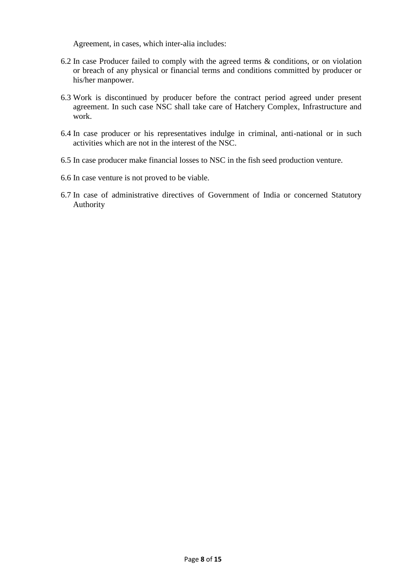Agreement, in cases, which inter-alia includes:

- 6.2 In case Producer failed to comply with the agreed terms & conditions, or on violation or breach of any physical or financial terms and conditions committed by producer or his/her manpower.
- 6.3 Work is discontinued by producer before the contract period agreed under present agreement. In such case NSC shall take care of Hatchery Complex, Infrastructure and work.
- 6.4 In case producer or his representatives indulge in criminal, anti-national or in such activities which are not in the interest of the NSC.
- 6.5 In case producer make financial losses to NSC in the fish seed production venture.
- 6.6 In case venture is not proved to be viable.
- 6.7 In case of administrative directives of Government of India or concerned Statutory Authority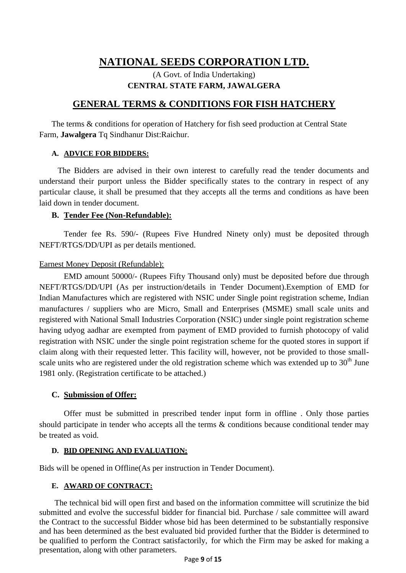### (A Govt. of India Undertaking) **CENTRAL STATE FARM, JAWALGERA**

### **GENERAL TERMS & CONDITIONS FOR FISH HATCHERY**

The terms & conditions for operation of Hatchery for fish seed production at Central State Farm, **Jawalgera** Tq Sindhanur Dist:Raichur.

#### **A. ADVICE FOR BIDDERS:**

The Bidders are advised in their own interest to carefully read the tender documents and understand their purport unless the Bidder specifically states to the contrary in respect of any particular clause, it shall be presumed that they accepts all the terms and conditions as have been laid down in tender document.

#### **B. Tender Fee (Non-Refundable):**

Tender fee Rs. 590/- (Rupees Five Hundred Ninety only) must be deposited through NEFT/RTGS/DD/UPI as per details mentioned.

#### Earnest Money Deposit (Refundable):

EMD amount 50000/- (Rupees Fifty Thousand only) must be deposited before due through NEFT/RTGS/DD/UPI (As per instruction/details in Tender Document).Exemption of EMD for Indian Manufactures which are registered with NSIC under Single point registration scheme, Indian manufactures / suppliers who are Micro, Small and Enterprises (MSME) small scale units and registered with National Small Industries Corporation (NSIC) under single point registration scheme having udyog aadhar are exempted from payment of EMD provided to furnish photocopy of valid registration with NSIC under the single point registration scheme for the quoted stores in support if claim along with their requested letter. This facility will, however, not be provided to those smallscale units who are registered under the old registration scheme which was extended up to  $30<sup>th</sup>$  June 1981 only. (Registration certificate to be attached.)

#### **C. Submission of Offer:**

Offer must be submitted in prescribed tender input form in offline . Only those parties should participate in tender who accepts all the terms & conditions because conditional tender may be treated as void.

#### **D. BID OPENING AND EVALUATION:**

Bids will be opened in Offline(As per instruction in Tender Document).

#### **E. AWARD OF CONTRACT:**

The technical bid will open first and based on the information committee will scrutinize the bid submitted and evolve the successful bidder for financial bid. Purchase / sale committee will award the Contract to the successful Bidder whose bid has been determined to be substantially responsive and has been determined as the best evaluated bid provided further that the Bidder is determined to be qualified to perform the Contract satisfactorily, for which the Firm may be asked for making a presentation, along with other parameters.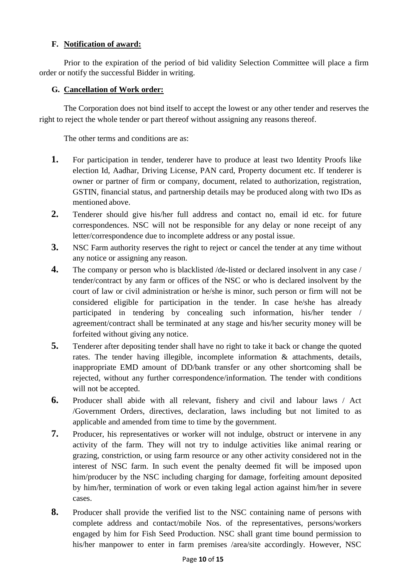### **F. Notification of award:**

Prior to the expiration of the period of bid validity Selection Committee will place a firm order or notify the successful Bidder in writing.

#### **G. Cancellation of Work order:**

The Corporation does not bind itself to accept the lowest or any other tender and reserves the right to reject the whole tender or part thereof without assigning any reasons thereof.

The other terms and conditions are as:

- **1.** For participation in tender, tenderer have to produce at least two Identity Proofs like election Id, Aadhar, Driving License, PAN card, Property document etc. If tenderer is owner or partner of firm or company, document, related to authorization, registration, GSTIN, financial status, and partnership details may be produced along with two IDs as mentioned above.
- **2.** Tenderer should give his/her full address and contact no, email id etc. for future correspondences. NSC will not be responsible for any delay or none receipt of any letter/correspondence due to incomplete address or any postal issue.
- **3.** NSC Farm authority reserves the right to reject or cancel the tender at any time without any notice or assigning any reason.
- **4.** The company or person who is blacklisted /de-listed or declared insolvent in any case / tender/contract by any farm or offices of the NSC or who is declared insolvent by the court of law or civil administration or he/she is minor, such person or firm will not be considered eligible for participation in the tender. In case he/she has already participated in tendering by concealing such information, his/her tender / agreement/contract shall be terminated at any stage and his/her security money will be forfeited without giving any notice.
- **5.** Tenderer after depositing tender shall have no right to take it back or change the quoted rates. The tender having illegible, incomplete information & attachments, details, inappropriate EMD amount of DD/bank transfer or any other shortcoming shall be rejected, without any further correspondence/information. The tender with conditions will not be accepted.
- **6.** Producer shall abide with all relevant, fishery and civil and labour laws / Act /Government Orders, directives, declaration, laws including but not limited to as applicable and amended from time to time by the government.
- **7.** Producer, his representatives or worker will not indulge, obstruct or intervene in any activity of the farm. They will not try to indulge activities like animal rearing or grazing, constriction, or using farm resource or any other activity considered not in the interest of NSC farm. In such event the penalty deemed fit will be imposed upon him/producer by the NSC including charging for damage, forfeiting amount deposited by him/her, termination of work or even taking legal action against him/her in severe cases.
- **8.** Producer shall provide the verified list to the NSC containing name of persons with complete address and contact/mobile Nos. of the representatives, persons/workers engaged by him for Fish Seed Production. NSC shall grant time bound permission to his/her manpower to enter in farm premises /area/site accordingly. However, NSC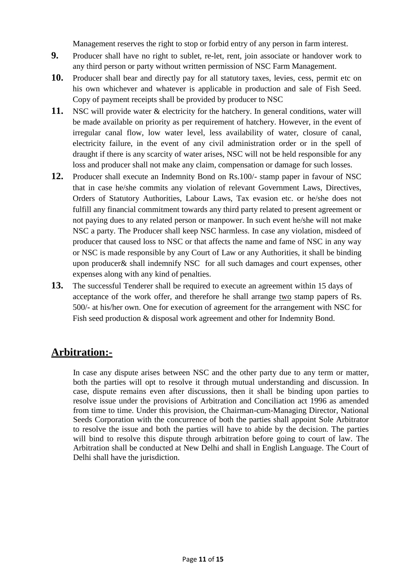Management reserves the right to stop or forbid entry of any person in farm interest.

- **9.** Producer shall have no right to sublet, re-let, rent, join associate or handover work to any third person or party without written permission of NSC Farm Management.
- **10.** Producer shall bear and directly pay for all statutory taxes, levies, cess, permit etc on his own whichever and whatever is applicable in production and sale of Fish Seed. Copy of payment receipts shall be provided by producer to NSC
- **11.** NSC will provide water & electricity for the hatchery. In general conditions, water will be made available on priority as per requirement of hatchery. However, in the event of irregular canal flow, low water level, less availability of water, closure of canal, electricity failure, in the event of any civil administration order or in the spell of draught if there is any scarcity of water arises, NSC will not be held responsible for any loss and producer shall not make any claim, compensation or damage for such losses.
- **12.** Producer shall execute an Indemnity Bond on Rs.100/- stamp paper in favour of NSC that in case he/she commits any violation of relevant Government Laws, Directives, Orders of Statutory Authorities, Labour Laws, Tax evasion etc. or he/she does not fulfill any financial commitment towards any third party related to present agreement or not paying dues to any related person or manpower. In such event he/she will not make NSC a party. The Producer shall keep NSC harmless. In case any violation, misdeed of producer that caused loss to NSC or that affects the name and fame of NSC in any way or NSC is made responsible by any Court of Law or any Authorities, it shall be binding upon producer& shall indemnify NSC for all such damages and court expenses, other expenses along with any kind of penalties.
- **13.** The successful Tenderer shall be required to execute an agreement within 15 days of acceptance of the work offer, and therefore he shall arrange two stamp papers of Rs. 500/- at his/her own. One for execution of agreement for the arrangement with NSC for Fish seed production & disposal work agreement and other for Indemnity Bond.

## **Arbitration:-**

In case any dispute arises between NSC and the other party due to any term or matter, both the parties will opt to resolve it through mutual understanding and discussion. In case, dispute remains even after discussions, then it shall be binding upon parties to resolve issue under the provisions of Arbitration and Conciliation act 1996 as amended from time to time. Under this provision, the Chairman-cum-Managing Director, National Seeds Corporation with the concurrence of both the parties shall appoint Sole Arbitrator to resolve the issue and both the parties will have to abide by the decision. The parties will bind to resolve this dispute through arbitration before going to court of law. The Arbitration shall be conducted at New Delhi and shall in English Language. The Court of Delhi shall have the jurisdiction.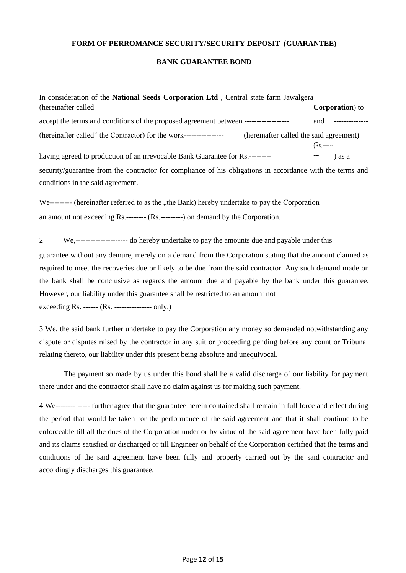#### **FORM OF PERROMANCE SECURITY/SECURITY DEPOSIT (GUARANTEE)**

#### **BANK GUARANTEE BOND**

| In consideration of the National Seeds Corporation Ltd, Central state farm Jawalgera                                                           |                         |  |
|------------------------------------------------------------------------------------------------------------------------------------------------|-------------------------|--|
| (hereinafter called)                                                                                                                           | <b>Corporation</b> ) to |  |
| accept the terms and conditions of the proposed agreement between -------------------                                                          | and                     |  |
| (hereinafter called" the Contractor) for the work-----------------<br>(hereinafter called the said agreement)                                  | $(Rs, \dots)$           |  |
| having agreed to production of an irrevocable Bank Guarantee for Rs.---------                                                                  | ) as a                  |  |
| security/guarantee from the contractor for compliance of his obligations in accordance with the terms and<br>conditions in the said agreement. |                         |  |

We--------- (hereinafter referred to as the "the Bank) hereby undertake to pay the Corporation an amount not exceeding Rs.-------- (Rs.---------) on demand by the Corporation.

2 We,--------------------- do hereby undertake to pay the amounts due and payable under this

guarantee without any demure, merely on a demand from the Corporation stating that the amount claimed as required to meet the recoveries due or likely to be due from the said contractor. Any such demand made on the bank shall be conclusive as regards the amount due and payable by the bank under this guarantee. However, our liability under this guarantee shall be restricted to an amount not

exceeding Rs. ------ (Rs. --------------- only.)

3 We, the said bank further undertake to pay the Corporation any money so demanded notwithstanding any dispute or disputes raised by the contractor in any suit or proceeding pending before any count or Tribunal relating thereto, our liability under this present being absolute and unequivocal.

The payment so made by us under this bond shall be a valid discharge of our liability for payment there under and the contractor shall have no claim against us for making such payment.

4 We-------- ----- further agree that the guarantee herein contained shall remain in full force and effect during the period that would be taken for the performance of the said agreement and that it shall continue to be enforceable till all the dues of the Corporation under or by virtue of the said agreement have been fully paid and its claims satisfied or discharged or till Engineer on behalf of the Corporation certified that the terms and conditions of the said agreement have been fully and properly carried out by the said contractor and accordingly discharges this guarantee.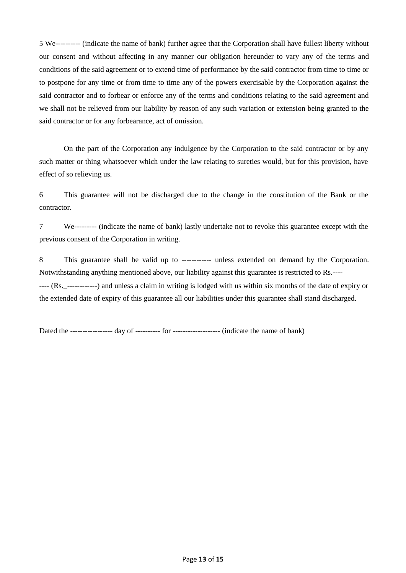5 We---------- (indicate the name of bank) further agree that the Corporation shall have fullest liberty without our consent and without affecting in any manner our obligation hereunder to vary any of the terms and conditions of the said agreement or to extend time of performance by the said contractor from time to time or to postpone for any time or from time to time any of the powers exercisable by the Corporation against the said contractor and to forbear or enforce any of the terms and conditions relating to the said agreement and we shall not be relieved from our liability by reason of any such variation or extension being granted to the said contractor or for any forbearance, act of omission.

On the part of the Corporation any indulgence by the Corporation to the said contractor or by any such matter or thing whatsoever which under the law relating to sureties would, but for this provision, have effect of so relieving us.

6 This guarantee will not be discharged due to the change in the constitution of the Bank or the contractor.

7 We--------- (indicate the name of bank) lastly undertake not to revoke this guarantee except with the previous consent of the Corporation in writing.

8 This guarantee shall be valid up to ------------ unless extended on demand by the Corporation. Notwithstanding anything mentioned above, our liability against this guarantee is restricted to Rs.---- ---- (Rs.\_------------) and unless a claim in writing is lodged with us within six months of the date of expiry or the extended date of expiry of this guarantee all our liabilities under this guarantee shall stand discharged.

Dated the ----------------- day of ---------- for ------------------- (indicate the name of bank)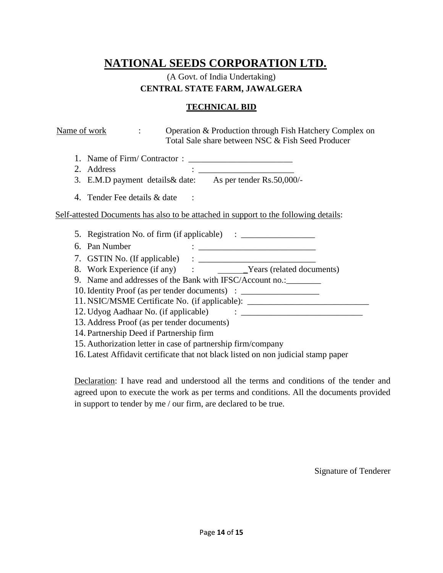### (A Govt. of India Undertaking) **CENTRAL STATE FARM, JAWALGERA**

#### **TECHNICAL BID**

| Name of work<br>$\ddot{\phantom{a}}$                                                 |  | Operation & Production through Fish Hatchery Complex on<br>Total Sale share between NSC & Fish Seed Producer                                                                                                                                                                                                                                                                                                                                                                                     |  |
|--------------------------------------------------------------------------------------|--|--------------------------------------------------------------------------------------------------------------------------------------------------------------------------------------------------------------------------------------------------------------------------------------------------------------------------------------------------------------------------------------------------------------------------------------------------------------------------------------------------|--|
|                                                                                      |  |                                                                                                                                                                                                                                                                                                                                                                                                                                                                                                  |  |
| 2. Address                                                                           |  | $\begin{minipage}{.4\linewidth} \begin{tabular}{l} \multicolumn{2}{c} {\textbf{1}} & \multicolumn{2}{c} {\textbf{2}} & \multicolumn{2}{c} {\textbf{3}} & \multicolumn{2}{c} {\textbf{4}} \\ \multicolumn{2}{c} {\textbf{5}} & \multicolumn{2}{c} {\textbf{6}} & \multicolumn{2}{c} {\textbf{7}} \\ \multicolumn{2}{c} {\textbf{6}} & \multicolumn{2}{c} {\textbf{7}} & \multicolumn{2}{c} {\textbf{8}} \\ \multicolumn{2}{c} {\textbf{9}} & \multicolumn{2}{c} {\textbf{1}} & \multicolumn{2}{c$ |  |
| 3. E.M.D payment details & date: As per tender Rs.50,000/-                           |  |                                                                                                                                                                                                                                                                                                                                                                                                                                                                                                  |  |
| 4. Tender Fee details & date                                                         |  |                                                                                                                                                                                                                                                                                                                                                                                                                                                                                                  |  |
| Self-attested Documents has also to be attached in support to the following details: |  |                                                                                                                                                                                                                                                                                                                                                                                                                                                                                                  |  |
| 5. Registration No. of firm (if applicable) : __________________________________     |  |                                                                                                                                                                                                                                                                                                                                                                                                                                                                                                  |  |
|                                                                                      |  |                                                                                                                                                                                                                                                                                                                                                                                                                                                                                                  |  |
|                                                                                      |  |                                                                                                                                                                                                                                                                                                                                                                                                                                                                                                  |  |
|                                                                                      |  |                                                                                                                                                                                                                                                                                                                                                                                                                                                                                                  |  |
| 9. Name and addresses of the Bank with IFSC/Account no.: _________                   |  |                                                                                                                                                                                                                                                                                                                                                                                                                                                                                                  |  |
| 10. Identity Proof (as per tender documents) : _________________________________     |  |                                                                                                                                                                                                                                                                                                                                                                                                                                                                                                  |  |
| 11. NSIC/MSME Certificate No. (if applicable): _________________________________     |  |                                                                                                                                                                                                                                                                                                                                                                                                                                                                                                  |  |
|                                                                                      |  |                                                                                                                                                                                                                                                                                                                                                                                                                                                                                                  |  |
| 13. Address Proof (as per tender documents)                                          |  |                                                                                                                                                                                                                                                                                                                                                                                                                                                                                                  |  |
| 14. Partnership Deed if Partnership firm                                             |  |                                                                                                                                                                                                                                                                                                                                                                                                                                                                                                  |  |
| 15. Authorization letter in case of partnership firm/company                         |  |                                                                                                                                                                                                                                                                                                                                                                                                                                                                                                  |  |
| 16. Latest Affidavit certificate that not black listed on non judicial stamp paper   |  |                                                                                                                                                                                                                                                                                                                                                                                                                                                                                                  |  |

Declaration: I have read and understood all the terms and conditions of the tender and agreed upon to execute the work as per terms and conditions. All the documents provided in support to tender by me / our firm, are declared to be true.

Signature of Tenderer